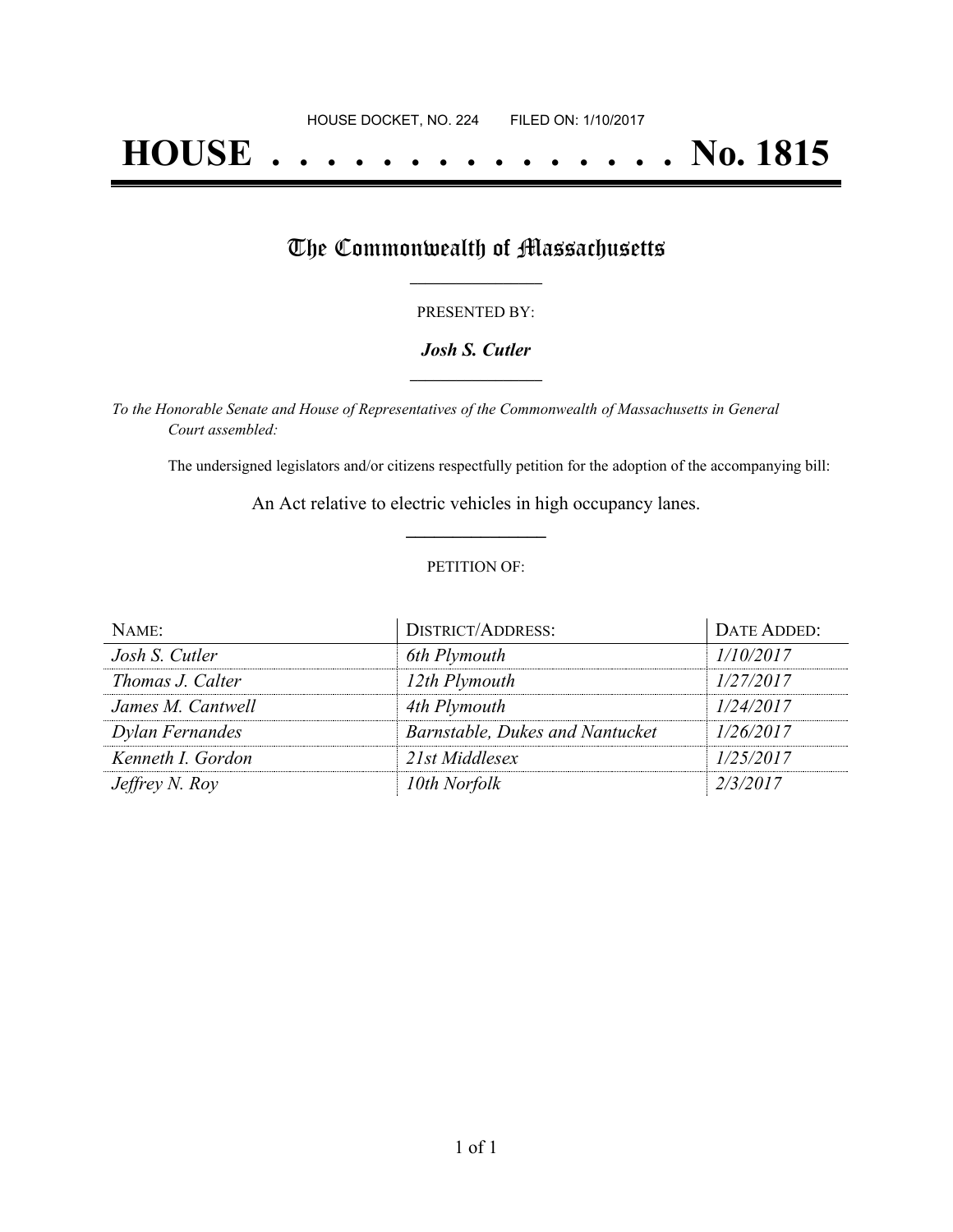# **HOUSE . . . . . . . . . . . . . . . No. 1815**

## The Commonwealth of Massachusetts

#### PRESENTED BY:

#### *Josh S. Cutler* **\_\_\_\_\_\_\_\_\_\_\_\_\_\_\_\_\_**

*To the Honorable Senate and House of Representatives of the Commonwealth of Massachusetts in General Court assembled:*

The undersigned legislators and/or citizens respectfully petition for the adoption of the accompanying bill:

An Act relative to electric vehicles in high occupancy lanes. **\_\_\_\_\_\_\_\_\_\_\_\_\_\_\_**

#### PETITION OF:

| NAME:                 | <b>DISTRICT/ADDRESS:</b>        | DATE ADDED: |
|-----------------------|---------------------------------|-------------|
| Josh S. Cutler        | 6th Plymouth                    | 1/10/2017   |
| Thomas J. Calter      | 12th Plymouth                   | 1/27/2017   |
| James M. Cantwell     | 4th Plymouth                    | 1/24/2017   |
| Dylan Fernandes       | Barnstable, Dukes and Nantucket | 1/26/2017   |
| Kenneth I. Gordon     | 21st Middlesex                  | 1/25/2017   |
| <i>Jeffrey N. Roy</i> | 10th Norfolk                    | 2/3/2017    |